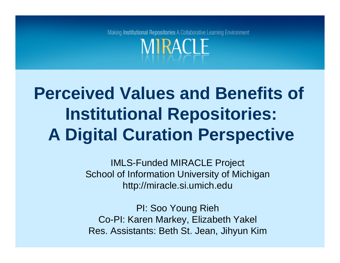Making Institutional Repositories A Collaborative Learning Environment **MIRACLE** 

# **Perceived Values and Benefits of Institutional Repositories: A Digital Curation Perspective**

IMLS-Funded MIRACLE Project School of Information University of Michigan http://miracle.si.umich.edu

PI: Soo Young Rieh Co-PI: Karen Markey, Elizabeth Yakel Res. Assistants: Beth St. Jean, Jihyun Kim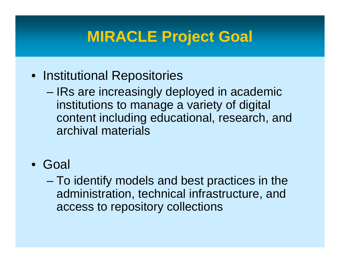# **MIRACLE Project Goal**

- Institutional Repositories
	- – IRs are increasingly deployed in academic institutions to manage a variety of digital content including educational, research, and archival materials
- Goal
	- – To identify models and best practices in the administration, technical infrastructure, and access to repository collections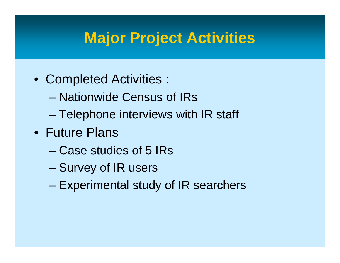# **Major Project Activities**

- Completed Activities :
	- Nationwide Census of IRs
	- **Harry Committee** Telephone interviews with IR staff
- Future Plans
	- Case studies of 5 IRs
	- –Survey of IR users
	- –Experimental study of IR searchers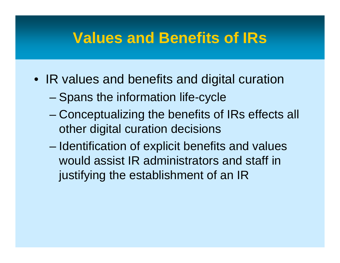## **Values and Benefits of IRs**

- IR values and benefits and digital curation
	- **Harry Committee** Spans the information life-cycle
	- **Harry Committee**  Conceptualizing the benefits of IRs effects all other digital curation decisions
	- – Identification of explicit benefits and values would assist IR administrators and staff in justifying the establishment of an IR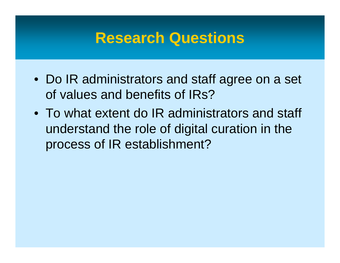#### **Research Questions**

- Do IR administrators and staff agree on a set of values and benefits of IRs?
- To what extent do IR administrators and staff understand the role of digital curation in the process of IR establishment?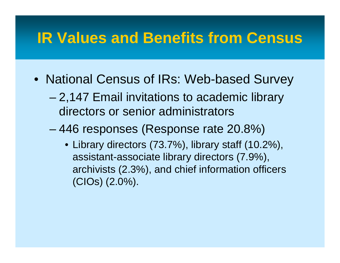# **IR Values and Benefits from Census**

- National Census of IRs: Web-based Survey
	- **Harry Committee**  2,147 Email invitations to academic library directors or senior administrators
	- – 446 responses (Response rate 20.8%)
		- Library directors (73.7%), library staff (10.2%), assistant-associate library directors (7.9%), archivists (2.3%), and chief information officers (CIOs) (2.0%).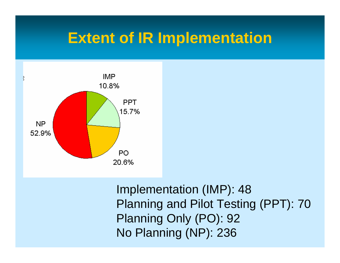#### **Extent of IR Implementation**



Implementation (IMP): 48 Planning and Pilot Testing (PPT): 70 Planning Only (PO): 92 No Planning (NP): 236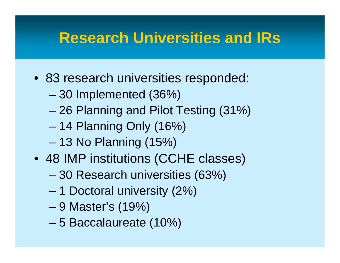### **Research Universities and IRs**

- 83 research universities responded:
	- **Harry Committee** 30 Implemented (36%)
	- **Harry Committee** 26 Planning and Pilot Testing (31%)
	- –14 Planning Only (16%)
	- **Harry Committee** 13 No Planning (15%)
- 48 IMP institutions (CCHE classes)
	- –30 Research universities (63%)
	- **Harry Committee** 1 Doctoral university (2%)
	- **Harry Committee** 9 Master's (19%)
	- –5 Baccalaureate (10%)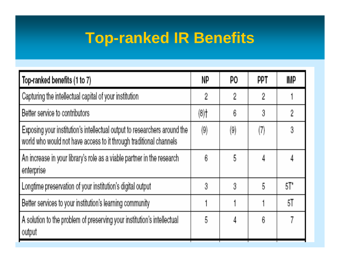# **Top-ranked IR Benefits**

| Top-ranked benefits (1 to 7)                                                                                                                    | NP                | PO.               | ppt | <b>IMP</b> |
|-------------------------------------------------------------------------------------------------------------------------------------------------|-------------------|-------------------|-----|------------|
| Capturing the intellectual capital of your institution                                                                                          | 2                 | 2                 | 2   |            |
| Better service to contributors                                                                                                                  | (8)               | 6                 | 3   | 2          |
| Exposing your institution's intellectual output to researchers around the<br>world who would not have access to it through traditional channels | $\left( 9\right)$ | $\left( 9\right)$ | 7)  | 3          |
| An increase in your library's role as a viable partner in the research<br>enterprise                                                            | 6                 | 5                 | 4   |            |
| Longtime preservation of your institution's digital output                                                                                      | 3                 | 3                 | 5   | 5T'        |
| Better services to your institution's learning community                                                                                        |                   |                   |     | 51         |
| A solution to the problem of preserving your institution's intellectual<br>output                                                               | 5                 | 4                 | 6   |            |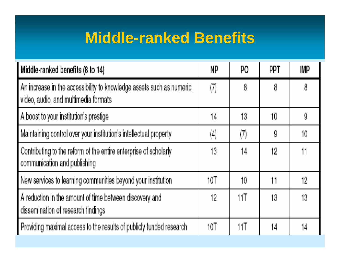# **Middle-ranked Benefits**

| Middle-ranked benefits (8 to 14)                                                                              | NP                | PO. | PPT | <b>IMP</b> |
|---------------------------------------------------------------------------------------------------------------|-------------------|-----|-----|------------|
| An increase in the accessibility to knowledge assets such as numeric,<br>video, audio, and multimedia formats | (7)               | 8   | 8   | 8          |
| A boost to your institution's prestige                                                                        | 14                | 13  | 10. | 9          |
| Maintaining control over your institution's intellectual property                                             | $\left( 4\right)$ | (7) | 9   | 10         |
| Contributing to the reform of the entire enterprise of scholarly<br>communication and publishing              | 13                | 14  | 12. | 11         |
| New services to learning communities beyond your institution                                                  | 10T               | 10  | 11  | 12         |
| A reduction in the amount of time between discovery and<br>dissemination of research findings                 | 12                | 11  | 13  | 13         |
| Providing maximal access to the results of publicly funded research                                           | 10 <sup>T</sup>   | 11T | 14  | 4          |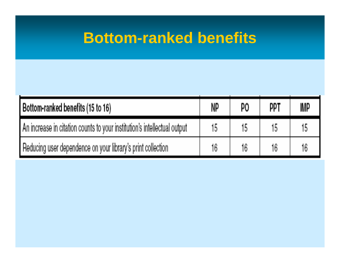#### **Bottom-ranked benefits**

| Bottom-ranked benefits (15 to 16)                                        | NP | PO | ppt | <b>IMP</b> |
|--------------------------------------------------------------------------|----|----|-----|------------|
| An increase in citation counts to your institution's intellectual output | 15 |    | 15  |            |
| Reducing user dependence on your library's print collection              | 16 | 16 | ۱ĥ  |            |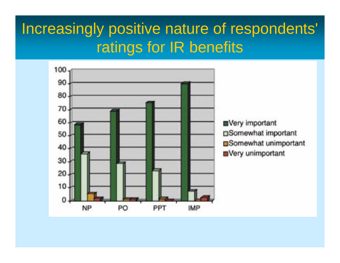#### Increasingly positive nature of respondents' ratings for IR benefits

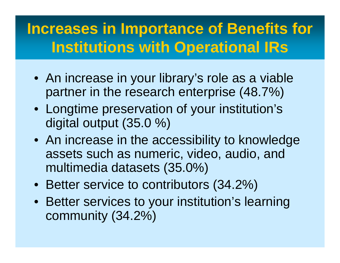# **Increases in Importance of Benefits for Institutions with Operational IRs**

- An increase in your library's role as a viable partner in the research enterprise (48.7%)
- Longtime preservation of your institution's digital output (35.0 %)
- An increase in the accessibility to knowledge assets such as numeric, video, audio, and multimedia datasets (35.0%)
- Better service to contributors (34.2%)
- Better services to your institution's learning community (34.2%)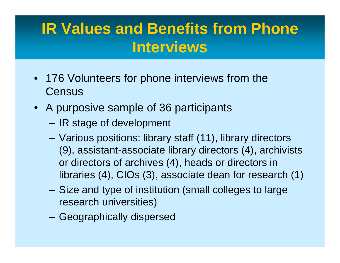# **IR Values and Benefits from Phone Interviews**

- 176 Volunteers for phone interviews from the **Census**
- A purposive sample of 36 participants
	- **Harry Committee** IR stage of development
	- **Harry Committee**  Various positions: library staff (11), library directors (9), assistant-associate library directors (4), archivists or directors of archives (4), heads or directors in libraries (4), CIOs (3), associate dean for research (1)
	- **Harry Committee**  Size and type of institution (small colleges to large research universities)
	- –Geographically dispersed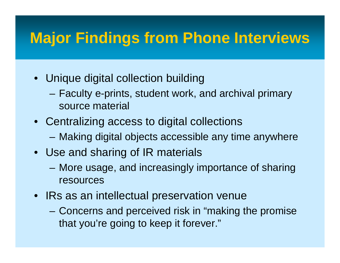# **Major Findings from Phone Interviews**

- Unique digital collection building
	- **Hart Committee**  Faculty e-prints, student work, and archival primary source material
- Centralizing access to digital collections **Hart Committee** Making digital objects accessible any time anywhere
- Use and sharing of IR materials
	- **Hart Committee**  More usage, and increasingly importance of sharing resources
- IRs as an intellectual preservation venue
	- **Harry Committee**  Concerns and perceived risk in "making the promise that you're going to keep it forever."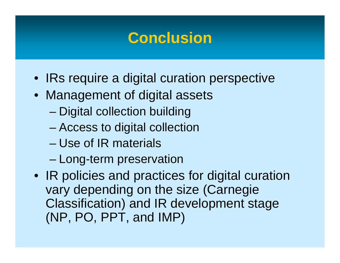### **Conclusion**

- IRs require a digital curation perspective
- Management of digital assets
	- **Harry Committee** Digital collection building
	- –Access to digital collection
	- Use of IR materials
	- **Harry Committee** Long-term preservation
- IR policies and practices for digital curation vary depending on the size (Carnegie Classification) and IR development stage (NP, PO, PPT, and IMP)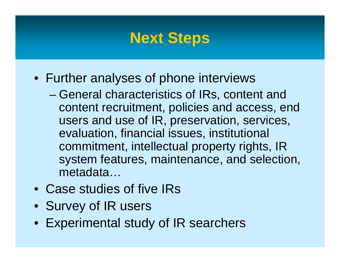#### **Next Steps**

- Further analyses of phone interviews
	- **Harry Committee**  General characteristics of IRs, content and content recruitment, policies and access, end users and use of IR, preservation, services, evaluation, financial issues, institutional commitment, intellectual property rights, IR system features, maintenance, and selection, metadata…
- Case studies of five IRs
- Survey of IR users
- Experimental study of IR searchers